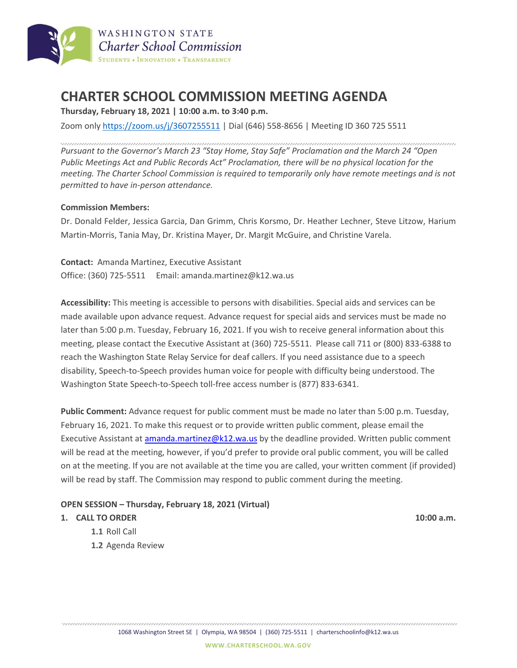

# **CHARTER SCHOOL COMMISSION MEETING AGENDA**

**Thursday, February 18, 2021 | 10:00 a.m. to 3:40 p.m.**

Zoom only <https://zoom.us/j/3607255511> | Dial (646) 558-8656 | Meeting ID 360 725 5511

*Pursuant to the Governor's March 23 "Stay Home, Stay Safe" Proclamation and the March 24 "Open Public Meetings Act and Public Records Act" Proclamation, there will be no physical location for the meeting. The Charter School Commission is required to temporarily only have remote meetings and is not permitted to have in-person attendance.*

### **Commission Members:**

Dr. Donald Felder, Jessica Garcia, Dan Grimm, Chris Korsmo, Dr. Heather Lechner, Steve Litzow, Harium Martin-Morris, Tania May, Dr. Kristina Mayer, Dr. Margit McGuire, and Christine Varela.

**Contact:** Amanda Martinez, Executive Assistant Office: (360) 725-5511 Email: amanda.martinez@k12.wa.us

**Accessibility:** This meeting is accessible to persons with disabilities. Special aids and services can be made available upon advance request. Advance request for special aids and services must be made no later than 5:00 p.m. Tuesday, February 16, 2021. If you wish to receive general information about this meeting, please contact the Executive Assistant at (360) 725-5511. Please call 711 or (800) 833-6388 to reach the Washington State Relay Service for deaf callers. If you need assistance due to a speech disability, Speech-to-Speech provides human voice for people with difficulty being understood. The Washington State Speech-to-Speech toll-free access number is (877) 833-6341.

**Public Comment:** Advance request for public comment must be made no later than 5:00 p.m. Tuesday, February 16, 2021. To make this request or to provide written public comment, please email the Executive Assistant at [amanda.martinez@k12.wa.us](mailto:amanda.martinez@k12.wa.us) by the deadline provided. Written public comment will be read at the meeting, however, if you'd prefer to provide oral public comment, you will be called on at the meeting. If you are not available at the time you are called, your written comment (if provided) will be read by staff. The Commission may respond to public comment during the meeting.

#### **OPEN SESSION – Thursday, February 18, 2021 (Virtual)**

#### **1. CALL TO ORDER 10:00 a.m.**

- **1.1** Roll Call
- **1.2** Agenda Review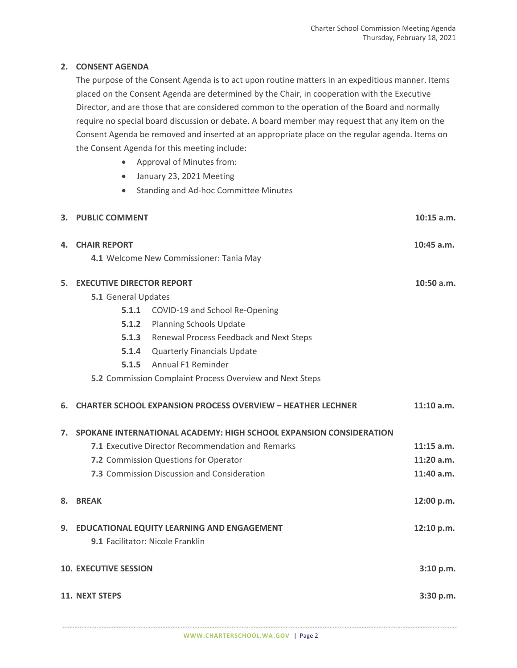## **2. CONSENT AGENDA**

The purpose of the Consent Agenda is to act upon routine matters in an expeditious manner. Items placed on the Consent Agenda are determined by the Chair, in cooperation with the Executive Director, and are those that are considered common to the operation of the Board and normally require no special board discussion or debate. A board member may request that any item on the Consent Agenda be removed and inserted at an appropriate place on the regular agenda. Items on the Consent Agenda for this meeting include:

- Approval of Minutes from:
- January 23, 2021 Meeting
- Standing and Ad-hoc Committee Minutes

|                              | 3. PUBLIC COMMENT                                                                     |                                                                    | 10:15 a.m.   |
|------------------------------|---------------------------------------------------------------------------------------|--------------------------------------------------------------------|--------------|
| 4.                           | <b>CHAIR REPORT</b>                                                                   |                                                                    | $10:45$ a.m. |
|                              | 4.1 Welcome New Commissioner: Tania May                                               |                                                                    |              |
| 5.                           | <b>EXECUTIVE DIRECTOR REPORT</b>                                                      |                                                                    | $10:50$ a.m. |
|                              | 5.1 General Updates                                                                   |                                                                    |              |
|                              |                                                                                       | 5.1.1 COVID-19 and School Re-Opening                               |              |
|                              |                                                                                       | 5.1.2 Planning Schools Update                                      |              |
|                              |                                                                                       | 5.1.3 Renewal Process Feedback and Next Steps                      |              |
|                              | 5.1.4                                                                                 | <b>Quarterly Financials Update</b>                                 |              |
|                              |                                                                                       | 5.1.5 Annual F1 Reminder                                           |              |
|                              | 5.2 Commission Complaint Process Overview and Next Steps                              |                                                                    |              |
| 6.                           |                                                                                       | <b>CHARTER SCHOOL EXPANSION PROCESS OVERVIEW - HEATHER LECHNER</b> | $11:10$ a.m. |
| 7.                           | SPOKANE INTERNATIONAL ACADEMY: HIGH SCHOOL EXPANSION CONSIDERATION                    |                                                                    |              |
|                              |                                                                                       | 7.1 Executive Director Recommendation and Remarks                  | $11:15$ a.m. |
|                              |                                                                                       | 7.2 Commission Questions for Operator                              | $11:20$ a.m. |
|                              |                                                                                       | 7.3 Commission Discussion and Consideration                        | 11:40 a.m.   |
| 8.                           | <b>BREAK</b>                                                                          |                                                                    | 12:00 p.m.   |
| 9.                           | <b>EDUCATIONAL EQUITY LEARNING AND ENGAGEMENT</b><br>9.1 Facilitator: Nicole Franklin |                                                                    |              |
| <b>10. EXECUTIVE SESSION</b> |                                                                                       |                                                                    | 3:10 p.m.    |
| <b>11. NEXT STEPS</b>        |                                                                                       |                                                                    | 3:30 p.m.    |